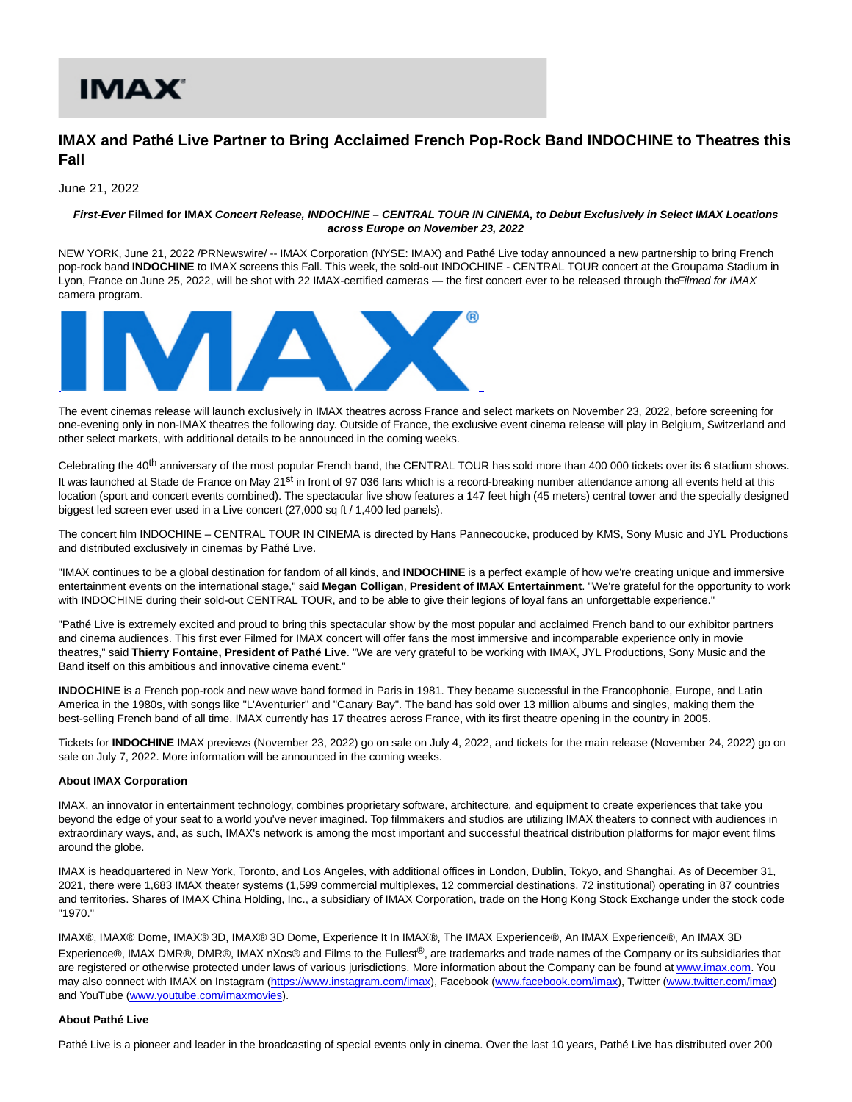# IMAX'

## **IMAX and Pathé Live Partner to Bring Acclaimed French Pop-Rock Band INDOCHINE to Theatres this Fall**

June 21, 2022

### **First-Ever Filmed for IMAX Concert Release, INDOCHINE – CENTRAL TOUR IN CINEMA, to Debut Exclusively in Select IMAX Locations across Europe on November 23, 2022**

NEW YORK, June 21, 2022 /PRNewswire/ -- IMAX Corporation (NYSE: IMAX) and Pathé Live today announced a new partnership to bring French pop-rock band **INDOCHINE** to IMAX screens this Fall. This week, the sold-out INDOCHINE - CENTRAL TOUR concert at the Groupama Stadium in Lyon, France on June 25, 2022, will be shot with 22 IMAX-certified cameras — the first concert ever to be released through the Filmed for IMAX camera program.



The event cinemas release will launch exclusively in IMAX theatres across France and select markets on November 23, 2022, before screening for one-evening only in non-IMAX theatres the following day. Outside of France, the exclusive event cinema release will play in Belgium, Switzerland and other select markets, with additional details to be announced in the coming weeks.

Celebrating the 40<sup>th</sup> anniversary of the most popular French band, the CENTRAL TOUR has sold more than 400 000 tickets over its 6 stadium shows. It was launched at Stade de France on May 21<sup>st</sup> in front of 97 036 fans which is a record-breaking number attendance among all events held at this location (sport and concert events combined). The spectacular live show features a 147 feet high (45 meters) central tower and the specially designed biggest led screen ever used in a Live concert (27,000 sq ft / 1,400 led panels).

The concert film INDOCHINE – CENTRAL TOUR IN CINEMA is directed by Hans Pannecoucke, produced by KMS, Sony Music and JYL Productions and distributed exclusively in cinemas by Pathé Live.

"IMAX continues to be a global destination for fandom of all kinds, and **INDOCHINE** is a perfect example of how we're creating unique and immersive entertainment events on the international stage," said **Megan Colligan**, **President of IMAX Entertainment**. "We're grateful for the opportunity to work with INDOCHINE during their sold-out CENTRAL TOUR, and to be able to give their legions of loyal fans an unforgettable experience."

"Pathé Live is extremely excited and proud to bring this spectacular show by the most popular and acclaimed French band to our exhibitor partners and cinema audiences. This first ever Filmed for IMAX concert will offer fans the most immersive and incomparable experience only in movie theatres," said **Thierry Fontaine, President of Pathé Live**. "We are very grateful to be working with IMAX, JYL Productions, Sony Music and the Band itself on this ambitious and innovative cinema event."

**INDOCHINE** is a French pop-rock and new wave band formed in Paris in 1981. They became successful in the Francophonie, Europe, and Latin America in the 1980s, with songs like "L'Aventurier" and "Canary Bay". The band has sold over 13 million albums and singles, making them the best-selling French band of all time. IMAX currently has 17 theatres across France, with its first theatre opening in the country in 2005.

Tickets for **INDOCHINE** IMAX previews (November 23, 2022) go on sale on July 4, 2022, and tickets for the main release (November 24, 2022) go on sale on July 7, 2022. More information will be announced in the coming weeks.

#### **About IMAX Corporation**

IMAX, an innovator in entertainment technology, combines proprietary software, architecture, and equipment to create experiences that take you beyond the edge of your seat to a world you've never imagined. Top filmmakers and studios are utilizing IMAX theaters to connect with audiences in extraordinary ways, and, as such, IMAX's network is among the most important and successful theatrical distribution platforms for major event films around the globe.

IMAX is headquartered in New York, Toronto, and Los Angeles, with additional offices in London, Dublin, Tokyo, and Shanghai. As of December 31, 2021, there were 1,683 IMAX theater systems (1,599 commercial multiplexes, 12 commercial destinations, 72 institutional) operating in 87 countries and territories. Shares of IMAX China Holding, Inc., a subsidiary of IMAX Corporation, trade on the Hong Kong Stock Exchange under the stock code "1970."

IMAX®, IMAX® Dome, IMAX® 3D, IMAX® 3D Dome, Experience It In IMAX®, The IMAX Experience®, An IMAX Experience®, An IMAX 3D Experience®, IMAX DMR®, DMR®, IMAX nXos® and Films to the Fullest®, are trademarks and trade names of the Company or its subsidiaries that are registered or otherwise protected under laws of various jurisdictions. More information about the Company can be found a[t www.imax.com.](https://c212.net/c/link/?t=0&l=en&o=3572668-1&h=2778868704&u=https%3A%2F%2Fcan01.safelinks.protection.outlook.com%2F%3Furl%3Dhttps%253A%252F%252Fc212.net%252Fc%252Flink%252F%253Ft%253D0%2526l%253Den%2526o%253D3111197-1%2526h%253D3605156466%2526u%253Dhttp%25253A%25252F%25252Fwww.imax.com%25252F%2526a%253Dwww.imax.com%26data%3D04%257C01%257C%257C2780f7da044a4636c44408d8faa1ace6%257C690377a2597f481ca498b51532ed1e7d%257C0%257C0%257C637534919629982952%257CUnknown%257CTWFpbGZsb3d8eyJWIjoiMC4wLjAwMDAiLCJQIjoiV2luMzIiLCJBTiI6Ik1haWwiLCJXVCI6Mn0%253D%257C1000%26sdata%3DoJfhB7rQIYARiRC3iOpcFFvQEHOG9hEzrnykzEEnSiE%253D%26reserved%3D0&a=www.imax.com) You may also connect with IMAX on Instagram [\(https://www.instagram.com/imax\)](https://c212.net/c/link/?t=0&l=en&o=3572668-1&h=2034490023&u=https%3A%2F%2Fcan01.safelinks.protection.outlook.com%2F%3Furl%3Dhttps%253A%252F%252Fc212.net%252Fc%252Flink%252F%253Ft%253D0%2526l%253Den%2526o%253D3111197-1%2526h%253D2801932019%2526u%253Dhttps%25253A%25252F%25252Fc212.net%25252Fc%25252Flink%25252F%25253Ft%25253D0%252526l%25253Den%252526o%25253D3086159-1%252526h%25253D2034273947%252526u%25253Dhttps%2525253A%2525252F%2525252Fwww.instagram.com%2525252Fimax%252526a%25253Dhttps%2525253A%2525252F%2525252Fwww.instagram.com%2525252Fimax%2526a%253Dhttps%25253A%25252F%25252Fwww.instagram.com%25252Fimax%26data%3D04%257C01%257C%257C2780f7da044a4636c44408d8faa1ace6%257C690377a2597f481ca498b51532ed1e7d%257C0%257C0%257C637534919629992947%257CUnknown%257CTWFpbGZsb3d8eyJWIjoiMC4wLjAwMDAiLCJQIjoiV2luMzIiLCJBTiI6Ik1haWwiLCJXVCI6Mn0%253D%257C1000%26sdata%3DK99urBsaeMZcB8hbuvkK6Q8TXYzJzA2%252Fn1L0QQLSY0I%253D%26reserved%3D0&a=https%3A%2F%2Fwww.instagram.com%2Fimax), Facebook [\(www.facebook.com/imax\),](https://c212.net/c/link/?t=0&l=en&o=3572668-1&h=211165311&u=https%3A%2F%2Fcan01.safelinks.protection.outlook.com%2F%3Furl%3Dhttps%253A%252F%252Fc212.net%252Fc%252Flink%252F%253Ft%253D0%2526l%253Den%2526o%253D3111197-1%2526h%253D2994690867%2526u%253Dhttp%25253A%25252F%25252Fwww.facebook.com%25252Fimax%2526a%253Dwww.facebook.com%25252Fimax%26data%3D04%257C01%257C%257C2780f7da044a4636c44408d8faa1ace6%257C690377a2597f481ca498b51532ed1e7d%257C0%257C0%257C637534919630002944%257CUnknown%257CTWFpbGZsb3d8eyJWIjoiMC4wLjAwMDAiLCJQIjoiV2luMzIiLCJBTiI6Ik1haWwiLCJXVCI6Mn0%253D%257C1000%26sdata%3DVSdPIYYHeBUHx619Yc58ujRcGndK71V1SSDQeQ1Y7PE%253D%26reserved%3D0&a=www.facebook.com%2Fimax) Twitter [\(www.twitter.com/imax\)](https://c212.net/c/link/?t=0&l=en&o=3572668-1&h=3260697790&u=https%3A%2F%2Fcan01.safelinks.protection.outlook.com%2F%3Furl%3Dhttps%253A%252F%252Fc212.net%252Fc%252Flink%252F%253Ft%253D0%2526l%253Den%2526o%253D3111197-1%2526h%253D4030573392%2526u%253Dhttp%25253A%25252F%25252Fwww.twitter.com%25252Fimax%2526a%253Dwww.twitter.com%25252Fimax%26data%3D04%257C01%257C%257C2780f7da044a4636c44408d8faa1ace6%257C690377a2597f481ca498b51532ed1e7d%257C0%257C0%257C637534919630002944%257CUnknown%257CTWFpbGZsb3d8eyJWIjoiMC4wLjAwMDAiLCJQIjoiV2luMzIiLCJBTiI6Ik1haWwiLCJXVCI6Mn0%253D%257C1000%26sdata%3DbHQtvKGLj4EHt%252BvEPK68AtRaEX3cDqOYrV5UZtJLFu0%253D%26reserved%3D0&a=www.twitter.com%2Fimax) and YouTube [\(www.youtube.com/imaxmovies\).](https://c212.net/c/link/?t=0&l=en&o=3572668-1&h=849930880&u=https%3A%2F%2Fcan01.safelinks.protection.outlook.com%2F%3Furl%3Dhttps%253A%252F%252Fc212.net%252Fc%252Flink%252F%253Ft%253D0%2526l%253Den%2526o%253D3111197-1%2526h%253D3894448382%2526u%253Dhttps%25253A%25252F%25252Fc212.net%25252Fc%25252Flink%25252F%25253Ft%25253D0%252526l%25253Den%252526o%25253D3086159-1%252526h%25253D1562934794%252526u%25253Dhttp%2525253A%2525252F%2525252Fwww.youtube.com%2525252Fimaxmovies%252526a%25253Dwww.youtube.com%2525252Fimaxmovies%2526a%253Dwww.youtube.com%25252Fimaxmovies%26data%3D04%257C01%257C%257C2780f7da044a4636c44408d8faa1ace6%257C690377a2597f481ca498b51532ed1e7d%257C0%257C0%257C637534919630012937%257CUnknown%257CTWFpbGZsb3d8eyJWIjoiMC4wLjAwMDAiLCJQIjoiV2luMzIiLCJBTiI6Ik1haWwiLCJXVCI6Mn0%253D%257C1000%26sdata%3DS0qWs79%252F7dQ2Ns%252FPshE4dYHtqAHpxcSwSCH%252FJxrRumE%253D%26reserved%3D0&a=www.youtube.com%2Fimaxmovies)

#### **About Pathé Live**

Pathé Live is a pioneer and leader in the broadcasting of special events only in cinema. Over the last 10 years, Pathé Live has distributed over 200